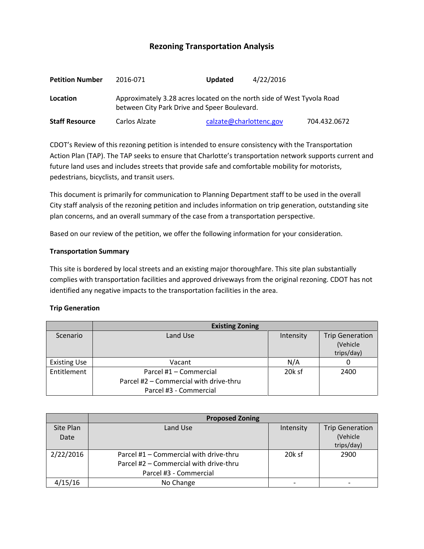# **Rezoning Transportation Analysis**

| <b>Petition Number</b> | 2016-071                                                                                                               | <b>Updated</b>          | 4/22/2016    |  |  |
|------------------------|------------------------------------------------------------------------------------------------------------------------|-------------------------|--------------|--|--|
| Location               | Approximately 3.28 acres located on the north side of West Tyvola Road<br>between City Park Drive and Speer Boulevard. |                         |              |  |  |
| <b>Staff Resource</b>  | Carlos Alzate                                                                                                          | calzate@charlottenc.gov | 704.432.0672 |  |  |

CDOT's Review of this rezoning petition is intended to ensure consistency with the Transportation Action Plan (TAP). The TAP seeks to ensure that Charlotte's transportation network supports current and future land uses and includes streets that provide safe and comfortable mobility for motorists, pedestrians, bicyclists, and transit users.

This document is primarily for communication to Planning Department staff to be used in the overall City staff analysis of the rezoning petition and includes information on trip generation, outstanding site plan concerns, and an overall summary of the case from a transportation perspective.

Based on our review of the petition, we offer the following information for your consideration.

#### **Transportation Summary**

This site is bordered by local streets and an existing major thoroughfare. This site plan substantially complies with transportation facilities and approved driveways from the original rezoning. CDOT has not identified any negative impacts to the transportation facilities in the area.

#### **Trip Generation**

|                     | <b>Existing Zoning</b>                 |           |                                    |  |
|---------------------|----------------------------------------|-----------|------------------------------------|--|
| Scenario            | Land Use                               | Intensity | <b>Trip Generation</b><br>(Vehicle |  |
|                     |                                        |           |                                    |  |
|                     |                                        |           | trips/day)                         |  |
| <b>Existing Use</b> | Vacant                                 | N/A       |                                    |  |
| Entitlement         | Parcel #1 - Commercial                 | 20k sf    | 2400                               |  |
|                     | Parcel #2 – Commercial with drive-thru |           |                                    |  |
|                     | Parcel #3 - Commercial                 |           |                                    |  |

|           | <b>Proposed Zoning</b>                 |           |                        |
|-----------|----------------------------------------|-----------|------------------------|
| Site Plan | Land Use                               | Intensity | <b>Trip Generation</b> |
| Date      |                                        |           | (Vehicle               |
|           |                                        |           | trips/day)             |
| 2/22/2016 | Parcel #1 - Commercial with drive-thru | 20k sf    | 2900                   |
|           | Parcel #2 – Commercial with drive-thru |           |                        |
|           | Parcel #3 - Commercial                 |           |                        |
| 4/15/16   | No Change                              |           |                        |